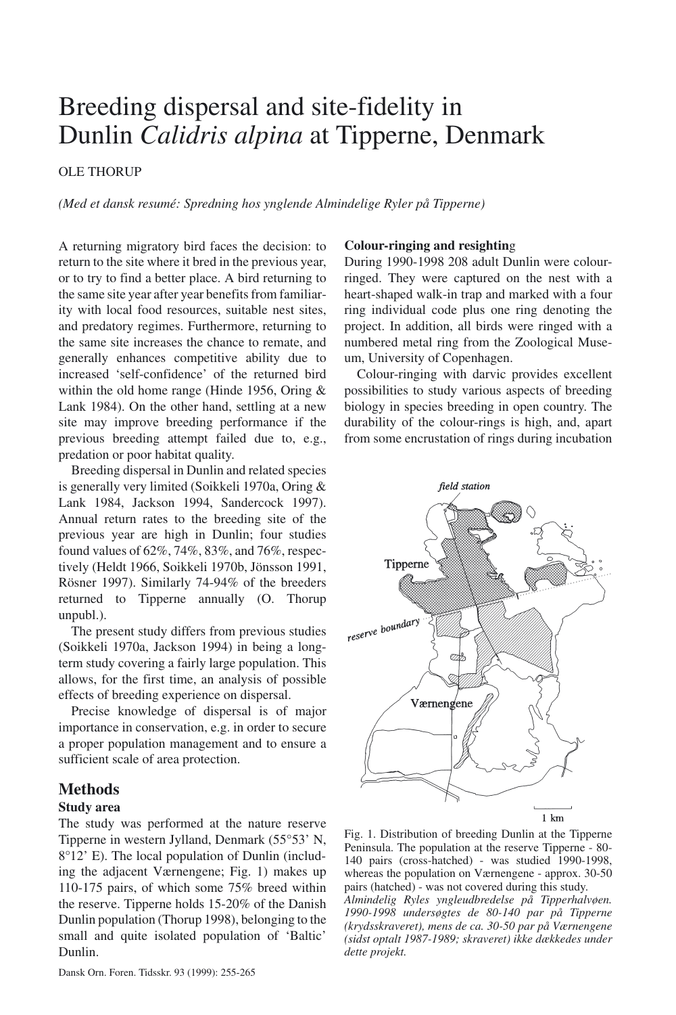# Breeding dispersal and site-fidelity in Dunlin *Calidris alpina* at Tipperne, Denmark

## OLE THORUP

*(Med et dansk resumé: Spredning hos ynglende Almindelige Ryler på Tipperne)*

A returning migratory bird faces the decision: to return to the site where it bred in the previous year, or to try to find a better place. A bird returning to the same site year after year benefits from familiarity with local food resources, suitable nest sites, and predatory regimes. Furthermore, returning to the same site increases the chance to remate, and generally enhances competitive ability due to increased 'self-confidence' of the returned bird within the old home range (Hinde 1956, Oring & Lank 1984). On the other hand, settling at a new site may improve breeding performance if the previous breeding attempt failed due to, e.g., predation or poor habitat quality.

Breeding dispersal in Dunlin and related species is generally very limited (Soikkeli 1970a, Oring & Lank 1984, Jackson 1994, Sandercock 1997). Annual return rates to the breeding site of the previous year are high in Dunlin; four studies found values of 62%, 74%, 83%, and 76%, respectively (Heldt 1966, Soikkeli 1970b, Jönsson 1991, Rösner 1997). Similarly 74-94% of the breeders returned to Tipperne annually (O. Thorup unpubl.).

The present study differs from previous studies (Soikkeli 1970a, Jackson 1994) in being a longterm study covering a fairly large population. This allows, for the first time, an analysis of possible effects of breeding experience on dispersal.

Precise knowledge of dispersal is of major importance in conservation, e.g. in order to secure a proper population management and to ensure a sufficient scale of area protection.

## **Methods**

#### **Study area**

The study was performed at the nature reserve Tipperne in western Jylland, Denmark (55°53' N, 8°12' E). The local population of Dunlin (including the adjacent Værnengene; Fig. 1) makes up 110-175 pairs, of which some 75% breed within the reserve. Tipperne holds 15-20% of the Danish Dunlin population (Thorup 1998), belonging to the small and quite isolated population of 'Baltic' Dunlin.

#### **Colour-ringing and resightin**g

During 1990-1998 208 adult Dunlin were colourringed. They were captured on the nest with a heart-shaped walk-in trap and marked with a four ring individual code plus one ring denoting the project. In addition, all birds were ringed with a numbered metal ring from the Zoological Museum, University of Copenhagen.

Colour-ringing with darvic provides excellent possibilities to study various aspects of breeding biology in species breeding in open country. The durability of the colour-rings is high, and, apart from some encrustation of rings during incubation



Fig. 1. Distribution of breeding Dunlin at the Tipperne Peninsula. The population at the reserve Tipperne - 80- 140 pairs (cross-hatched) - was studied 1990-1998, whereas the population on Værnengene - approx. 30-50 pairs (hatched) - was not covered during this study.

*Almindelig Ryles yngleudbredelse på Tipperhalvøen. 1990-1998 undersøgtes de 80-140 par på Tipperne (krydsskraveret), mens de ca. 30-50 par på Værnengene (sidst optalt 1987-1989; skraveret) ikke dækkedes under dette projekt.*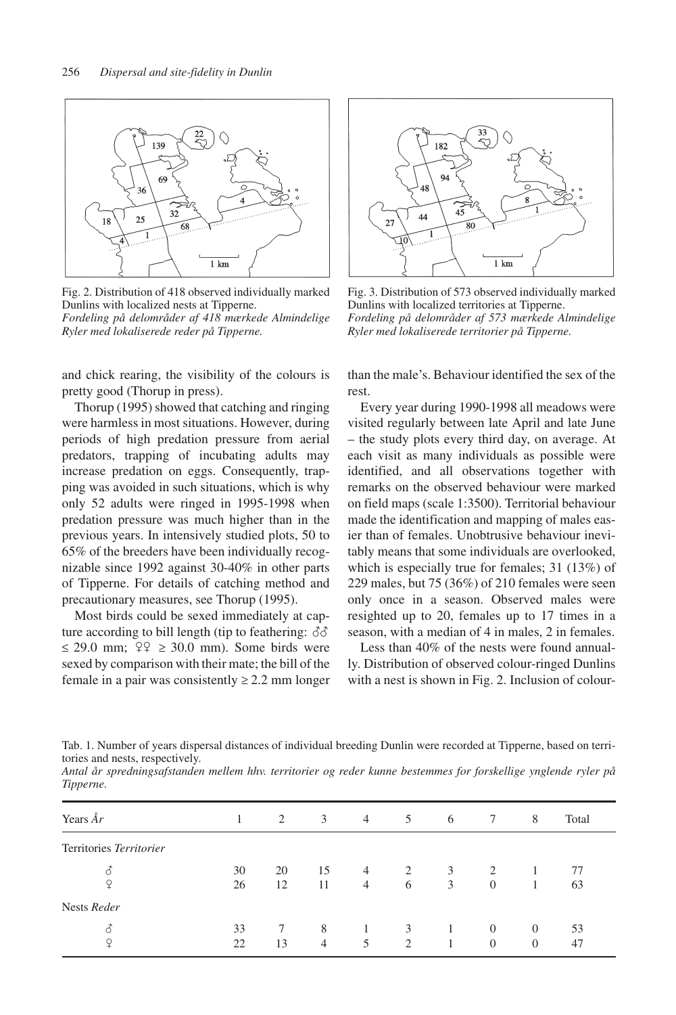

Fig. 2. Distribution of 418 observed individually marked Dunlins with localized nests at Tipperne. *Fordeling på delområder af 418 mærkede Almindelige Ryler med lokaliserede reder på Tipperne.*

and chick rearing, the visibility of the colours is pretty good (Thorup in press).

Thorup (1995) showed that catching and ringing were harmless in most situations. However, during periods of high predation pressure from aerial predators, trapping of incubating adults may increase predation on eggs. Consequently, trapping was avoided in such situations, which is why only 52 adults were ringed in 1995-1998 when predation pressure was much higher than in the previous years. In intensively studied plots, 50 to 65% of the breeders have been individually recognizable since 1992 against 30-40% in other parts of Tipperne. For details of catching method and precautionary measures, see Thorup (1995).

Most birds could be sexed immediately at capture according to bill length (tip to feathering:  $\delta\delta$ )  $\leq$  29.0 mm;  $\frac{9}{2} \geq 30.0$  mm). Some birds were sexed by comparison with their mate; the bill of the female in a pair was consistently  $\geq 2.2$  mm longer



Fig. 3. Distribution of 573 observed individually marked Dunlins with localized territories at Tipperne. *Fordeling på delområder af 573 mærkede Almindelige Ryler med lokaliserede territorier på Tipperne.*

than the male's. Behaviour identified the sex of the rest.

Every year during 1990-1998 all meadows were visited regularly between late April and late June – the study plots every third day, on average. At each visit as many individuals as possible were identified, and all observations together with remarks on the observed behaviour were marked on field maps (scale 1:3500). Territorial behaviour made the identification and mapping of males easier than of females. Unobtrusive behaviour inevitably means that some individuals are overlooked, which is especially true for females; 31 (13%) of 229 males, but 75 (36%) of 210 females were seen only once in a season. Observed males were resighted up to 20, females up to 17 times in a season, with a median of 4 in males, 2 in females.

Less than 40% of the nests were found annually. Distribution of observed colour-ringed Dunlins with a nest is shown in Fig. 2. Inclusion of colour-

Tab. 1. Number of years dispersal distances of individual breeding Dunlin were recorded at Tipperne, based on territories and nests, respectively.

*Antal år spredningsafstanden mellem hhv. territorier og reder kunne bestemmes for forskellige ynglende ryler på Tipperne.*

| Years $\AA r$           |          | 2        | 3        | $\overline{4}$                   | 5                                  | 6      | 7                                | 8                    | Total    |
|-------------------------|----------|----------|----------|----------------------------------|------------------------------------|--------|----------------------------------|----------------------|----------|
| Territories Territorier |          |          |          |                                  |                                    |        |                                  |                      |          |
| 3<br>¥                  | 30<br>26 | 20<br>12 | 15<br>11 | $\overline{4}$<br>$\overline{4}$ | 2<br>6                             | 3<br>3 | $\mathfrak{D}$<br>$\overline{0}$ |                      | 77<br>63 |
| Nests Reder             |          |          |          |                                  |                                    |        |                                  |                      |          |
| 3<br>¥                  | 33<br>22 | 13       | 8<br>4   | 5                                | 3<br>$\mathfrak{D}_{\mathfrak{p}}$ |        | $\Omega$<br>$\theta$             | $\Omega$<br>$\Omega$ | 53<br>47 |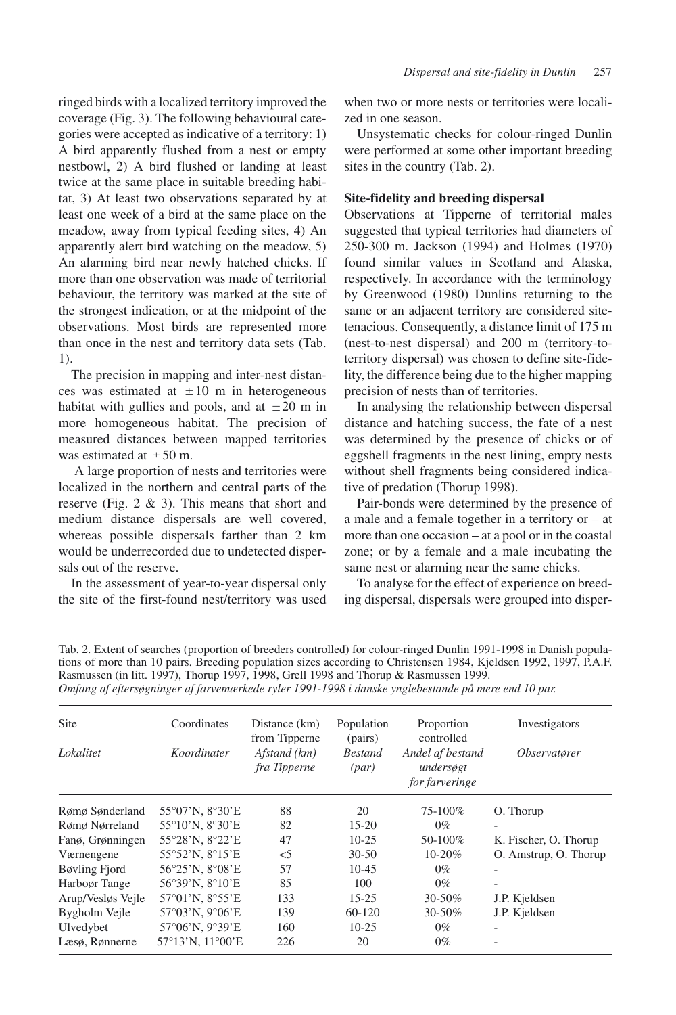ringed birds with a localized territory improved the coverage (Fig. 3). The following behavioural categories were accepted as indicative of a territory: 1) A bird apparently flushed from a nest or empty nestbowl, 2) A bird flushed or landing at least twice at the same place in suitable breeding habitat, 3) At least two observations separated by at least one week of a bird at the same place on the meadow, away from typical feeding sites, 4) An apparently alert bird watching on the meadow, 5) An alarming bird near newly hatched chicks. If more than one observation was made of territorial behaviour, the territory was marked at the site of the strongest indication, or at the midpoint of the observations. Most birds are represented more than once in the nest and territory data sets (Tab. 1).

The precision in mapping and inter-nest distances was estimated at  $\pm 10$  m in heterogeneous habitat with gullies and pools, and at  $\pm 20$  m in more homogeneous habitat. The precision of measured distances between mapped territories was estimated at  $\pm 50$  m.

A large proportion of nests and territories were localized in the northern and central parts of the reserve (Fig. 2 & 3). This means that short and medium distance dispersals are well covered, whereas possible dispersals farther than 2 km would be underrecorded due to undetected dispersals out of the reserve.

In the assessment of year-to-year dispersal only the site of the first-found nest/territory was used when two or more nests or territories were localized in one season.

Unsystematic checks for colour-ringed Dunlin were performed at some other important breeding sites in the country (Tab. 2).

#### **Site-fidelity and breeding dispersal**

Observations at Tipperne of territorial males suggested that typical territories had diameters of 250-300 m. Jackson (1994) and Holmes (1970) found similar values in Scotland and Alaska, respectively. In accordance with the terminology by Greenwood (1980) Dunlins returning to the same or an adjacent territory are considered sitetenacious. Consequently, a distance limit of 175 m (nest-to-nest dispersal) and 200 m (territory-toterritory dispersal) was chosen to define site-fidelity, the difference being due to the higher mapping precision of nests than of territories.

In analysing the relationship between dispersal distance and hatching success, the fate of a nest was determined by the presence of chicks or of eggshell fragments in the nest lining, empty nests without shell fragments being considered indicative of predation (Thorup 1998).

Pair-bonds were determined by the presence of a male and a female together in a territory or – at more than one occasion – at a pool or in the coastal zone; or by a female and a male incubating the same nest or alarming near the same chicks.

To analyse for the effect of experience on breeding dispersal, dispersals were grouped into disper-

Tab. 2. Extent of searches (proportion of breeders controlled) for colour-ringed Dunlin 1991-1998 in Danish populations of more than 10 pairs. Breeding population sizes according to Christensen 1984, Kjeldsen 1992, 1997, P.A.F. Rasmussen (in litt. 1997), Thorup 1997, 1998, Grell 1998 and Thorup & Rasmussen 1999. *Omfang af eftersøgninger af farvemærkede ryler 1991-1998 i danske ynglebestande på mere end 10 par.*

| Site              | Coordinates                         | Distance (km)<br>from Tipperne | Population<br>(pairs)   | Proportion<br>controlled                        | Investigators              |
|-------------------|-------------------------------------|--------------------------------|-------------------------|-------------------------------------------------|----------------------------|
| Lokalitet         | Koordinater                         | Afstand (km)<br>fra Tipperne   | <b>Bestand</b><br>(par) | Andel af bestand<br>undersøgt<br>for farveringe | <i><b>Observatører</b></i> |
| Rømø Sønderland   | $55^{\circ}07'$ N. $8^{\circ}30'E$  | 88                             | 20                      | 75-100%                                         | O. Thorup                  |
| Rømø Nørreland    | 55°10'N, 8°30'E                     | 82                             | $15 - 20$               | $0\%$                                           |                            |
| Fanø, Grønningen  | 55°28'N, 8°22'E                     | 47                             | $10-25$                 | 50-100%                                         | K. Fischer, O. Thorup      |
| Værnengene        | 55°52'N, 8°15'E                     | $<$ 5                          | $30 - 50$               | $10 - 20%$                                      | O. Amstrup, O. Thorup      |
| Bøvling Fjord     | 56°25'N, 8°08'E                     | 57                             | $10 - 45$               | $0\%$                                           |                            |
| Harboør Tange     | 56°39'N, 8°10'E                     | 85                             | 100                     | $0\%$                                           | $\overline{\phantom{a}}$   |
| Arup/Vesløs Vejle | 57°01'N, 8°55'E                     | 133                            | $15 - 25$               | $30 - 50\%$                                     | J.P. Kjeldsen              |
| Bygholm Veile     | 57°03'N, 9°06'E                     | 139                            | 60-120                  | 30-50%                                          | J.P. Kjeldsen              |
| Ulvedybet         | 57°06'N, 9°39'E                     | 160                            | $10-25$                 | $0\%$                                           |                            |
| Læsø, Rønnerne    | $57^{\circ}13'$ N. $11^{\circ}00'E$ | 226                            | 20                      | $0\%$                                           |                            |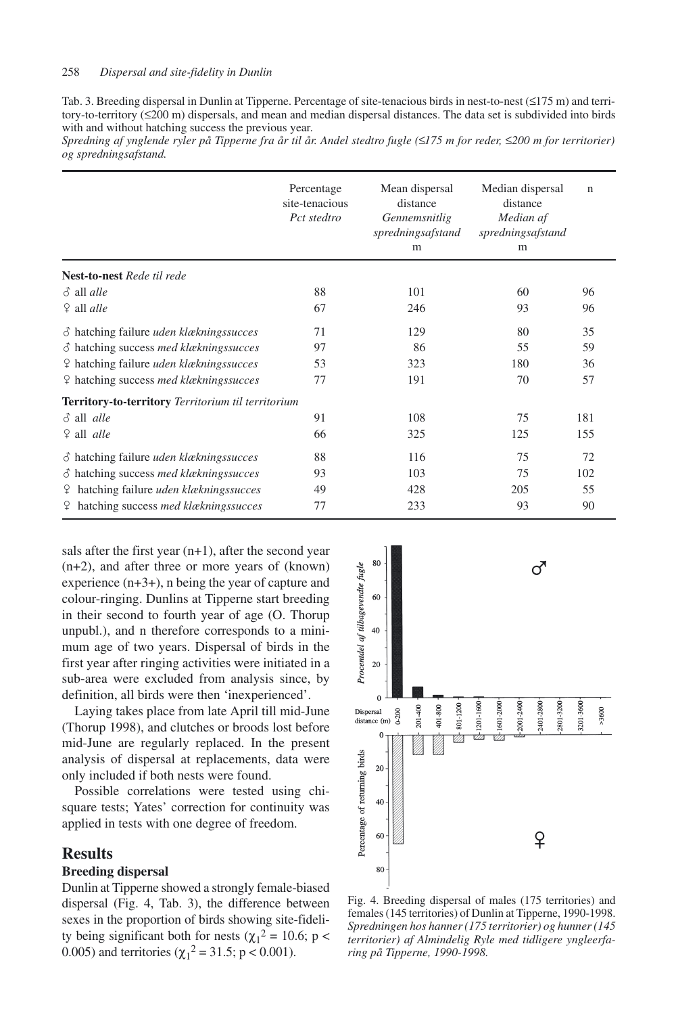Tab. 3. Breeding dispersal in Dunlin at Tipperne. Percentage of site-tenacious birds in nest-to-nest (≤175 m) and territory-to-territory  $(\leq 200 \text{ m})$  dispersals, and mean and median dispersal distances. The data set is subdivided into birds with and without hatching success the previous year.

*Spredning af ynglende ryler på Tipperne fra år til år. Andel stedtro fugle (*≤*175 m for reder,* ≤*200 m for territorier) og spredningsafstand.*

|                                                           | Percentage<br>site-tenacious<br>Pct stedtro | Mean dispersal<br>distance<br>Gennemsnitlig<br>spredningsafstand<br>m | Median dispersal<br>distance<br>Median af<br>spredningsafstand<br>m | $\mathsf{n}$ |
|-----------------------------------------------------------|---------------------------------------------|-----------------------------------------------------------------------|---------------------------------------------------------------------|--------------|
| <b>Nest-to-nest</b> Rede til rede                         |                                             |                                                                       |                                                                     |              |
| $\delta$ all <i>alle</i>                                  | 88                                          | 101                                                                   | 60                                                                  | 96           |
| $\frac{6}{7}$ all <i>alle</i>                             | 67                                          | 246                                                                   | 93                                                                  | 96           |
| $\delta$ hatching failure <i>uden klækningssucces</i>     | 71                                          | 129                                                                   | 80                                                                  | 35           |
| $\delta$ hatching success med klækningssucces             | 97                                          | 86                                                                    | 55                                                                  | 59           |
| <del>♀</del> hatching failure <i>uden klækningssucces</i> | 53                                          | 323                                                                   | 180                                                                 | 36           |
| <del>♀</del> hatching success <i>med klækningssucces</i>  | 77                                          | 191                                                                   | 70                                                                  | 57           |
| Territory-to-territory Territorium til territorium        |                                             |                                                                       |                                                                     |              |
| $\delta$ all <i>alle</i>                                  | 91                                          | 108                                                                   | 75                                                                  | 181          |
| $9$ all <i>alle</i>                                       | 66                                          | 325                                                                   | 125                                                                 | 155          |
| $\delta$ hatching failure <i>uden klækningssucces</i>     | 88                                          | 116                                                                   | 75                                                                  | 72           |
| $\delta$ hatching success med klækningssucces             | 93                                          | 103                                                                   | 75                                                                  | 102          |
| <del>↓</del> hatching failure <i>uden klækningssucces</i> | 49                                          | 428                                                                   | 205                                                                 | 55           |
| <del>♀</del> hatching success <i>med klækningssucces</i>  | 77                                          | 233                                                                   | 93                                                                  | 90           |

sals after the first year  $(n+1)$ , after the second year (n+2), and after three or more years of (known) experience (n+3+), n being the year of capture and colour-ringing. Dunlins at Tipperne start breeding in their second to fourth year of age (O. Thorup unpubl.), and n therefore corresponds to a minimum age of two years. Dispersal of birds in the first year after ringing activities were initiated in a sub-area were excluded from analysis since, by definition, all birds were then 'inexperienced'.

Laying takes place from late April till mid-June (Thorup 1998), and clutches or broods lost before mid-June are regularly replaced. In the present analysis of dispersal at replacements, data were only included if both nests were found.

Possible correlations were tested using chisquare tests; Yates' correction for continuity was applied in tests with one degree of freedom.

## **Results**

## **Breeding dispersal**

Dunlin at Tipperne showed a strongly female-biased dispersal (Fig. 4, Tab. 3), the difference between sexes in the proportion of birds showing site-fidelity being significant both for nests ( $\chi_1^2 = 10.6$ ; p < 0.005) and territories ( $\chi_1^2 = 31.5$ ; p < 0.001).



Fig. 4. Breeding dispersal of males (175 territories) and females (145 territories) of Dunlin at Tipperne, 1990-1998. *Spredningen hos hanner (175 territorier) og hunner (145 territorier) af Almindelig Ryle med tidligere yngleerfaring på Tipperne, 1990-1998.*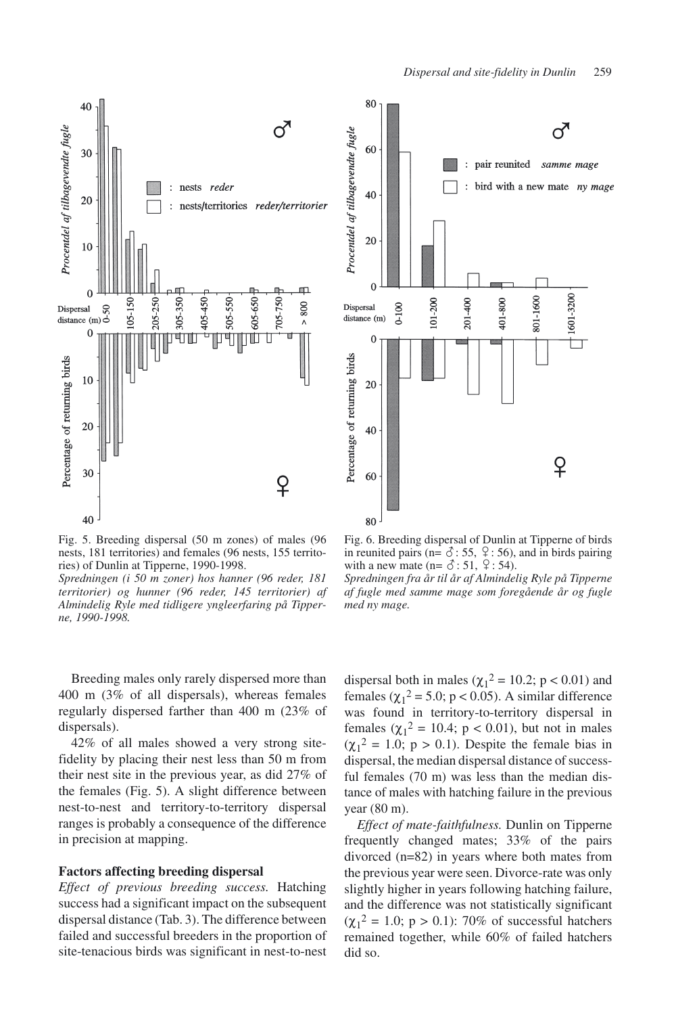

 $80$ റ് 60 : pair reunited samme mage bird with a new mate ny mage 40 20  $\overline{0}$ 



Fig. 5. Breeding dispersal (50 m zones) of males (96 nests, 181 territories) and females (96 nests, 155 territories) of Dunlin at Tipperne, 1990-1998.

*Spredningen (i 50 m zoner) hos hanner (96 reder, 181 territorier) og hunner (96 reder, 145 territorier) af Almindelig Ryle med tidligere yngleerfaring på Tipperne, 1990-1998.*

Breeding males only rarely dispersed more than 400 m (3% of all dispersals), whereas females regularly dispersed farther than 400 m (23% of dispersals).

42% of all males showed a very strong sitefidelity by placing their nest less than 50 m from their nest site in the previous year, as did 27% of the females (Fig. 5). A slight difference between nest-to-nest and territory-to-territory dispersal ranges is probably a consequence of the difference in precision at mapping.

#### **Factors affecting breeding dispersal**

*Effect of previous breeding success.* Hatching success had a significant impact on the subsequent dispersal distance (Tab. 3). The difference between failed and successful breeders in the proportion of site-tenacious birds was significant in nest-to-nest

Fig. 6. Breeding dispersal of Dunlin at Tipperne of birds in reunited pairs (n=  $\delta$ : 55,  $\frac{9}{5}$ : 56), and in birds pairing with a new mate (n=  $\delta$ : 51,  $\frac{6}{5}$ : 54).

*Spredningen fra år til år af Almindelig Ryle på Tipperne af fugle med samme mage som foregående år og fugle med ny mage.*

dispersal both in males ( $\chi_1^2 = 10.2$ ; p < 0.01) and females ( $\chi_1^2$  = 5.0; p < 0.05). A similar difference was found in territory-to-territory dispersal in females  $(\chi_1^2 = 10.4; p < 0.01)$ , but not in males  $(\chi_1^2 = 1.0; p > 0.1)$ . Despite the female bias in dispersal, the median dispersal distance of successful females (70 m) was less than the median distance of males with hatching failure in the previous year (80 m).

*Effect of mate-faithfulness.* Dunlin on Tipperne frequently changed mates; 33% of the pairs divorced (n=82) in years where both mates from the previous year were seen. Divorce-rate was only slightly higher in years following hatching failure, and the difference was not statistically significant  $(\chi_1^2 = 1.0; p > 0.1)$ : 70% of successful hatchers remained together, while 60% of failed hatchers did so.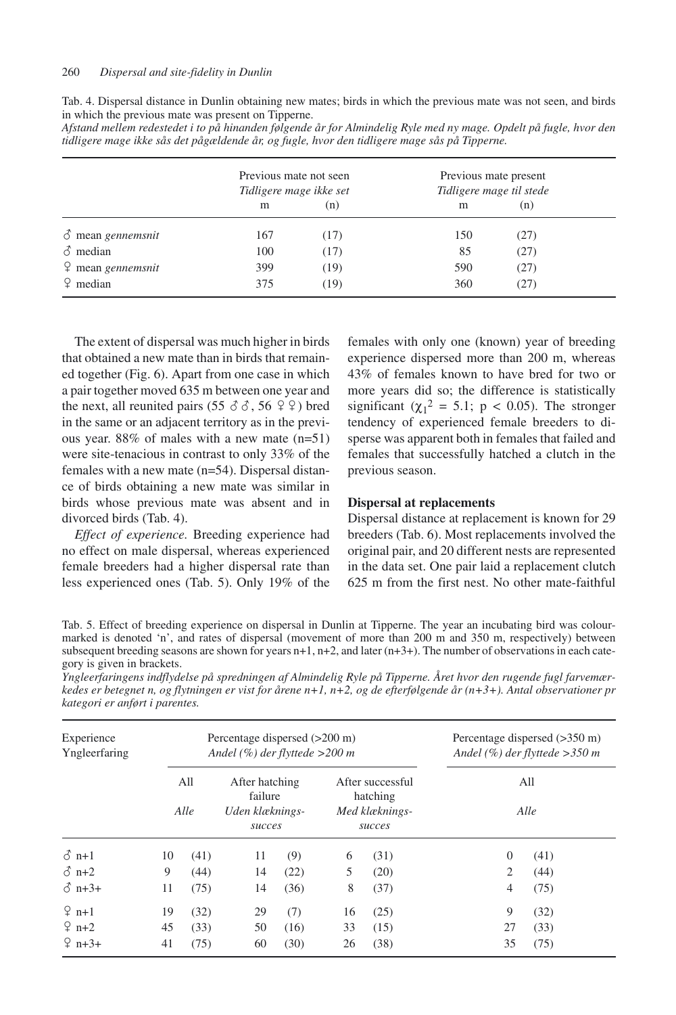| Tab. 4. Dispersal distance in Dunlin obtaining new mates; birds in which the previous mate was not seen, and birds |  |
|--------------------------------------------------------------------------------------------------------------------|--|
| in which the previous mate was present on Tipperne.                                                                |  |

| Afstand mellem redestedet i to på hinanden følgende år for Almindelig Ryle med ny mage. Opdelt på fugle, hvor den |  |  |  |
|-------------------------------------------------------------------------------------------------------------------|--|--|--|
| tidligere mage ikke sås det pågældende år, og fugle, hvor den tidligere mage sås på Tipperne.                     |  |  |  |

|                                  | Previous mate not seen<br>Tidligere mage ikke set |      | Previous mate present<br>Tidligere mage til stede |      |
|----------------------------------|---------------------------------------------------|------|---------------------------------------------------|------|
|                                  | m                                                 | (n)  | m                                                 | (n)  |
| $\delta$ mean gennemsnit         | 167                                               | (17) | 150                                               | (27) |
| $\delta$ median                  | 100                                               | (17) | 85                                                | (27) |
| $\varphi$ mean <i>gennemsnit</i> | 399                                               | (19) | 590                                               | (27) |
| $\degree$ median                 | 375                                               | (19) | 360                                               | (27) |

The extent of dispersal was much higher in birds that obtained a new mate than in birds that remained together (Fig. 6). Apart from one case in which a pair together moved 635 m between one year and the next, all reunited pairs  $(55 \& \& 56 \& \& 9)$  bred in the same or an adjacent territory as in the previous year. 88% of males with a new mate (n=51) were site-tenacious in contrast to only 33% of the females with a new mate (n=54). Dispersal distance of birds obtaining a new mate was similar in birds whose previous mate was absent and in divorced birds (Tab. 4).

*Effect of experience.* Breeding experience had no effect on male dispersal, whereas experienced female breeders had a higher dispersal rate than less experienced ones (Tab. 5). Only 19% of the

females with only one (known) year of breeding experience dispersed more than 200 m, whereas 43% of females known to have bred for two or more years did so; the difference is statistically significant ( $\chi_1^2 = 5.1$ ; p < 0.05). The stronger tendency of experienced female breeders to disperse was apparent both in females that failed and females that successfully hatched a clutch in the previous season.

## **Dispersal at replacements**

Dispersal distance at replacement is known for 29 breeders (Tab. 6). Most replacements involved the original pair, and 20 different nests are represented in the data set. One pair laid a replacement clutch 625 m from the first nest. No other mate-faithful

Tab. 5. Effect of breeding experience on dispersal in Dunlin at Tipperne. The year an incubating bird was colourmarked is denoted 'n', and rates of dispersal (movement of more than 200 m and 350 m, respectively) between subsequent breeding seasons are shown for years n+1, n+2, and later (n+3+). The number of observations in each category is given in brackets.

|  |                                | Yngleerfaringens indflydelse på spredningen af Almindelig Ryle på Tipperne. Året hvor den rugende fugl farvemær-     |  |  |  |  |
|--|--------------------------------|----------------------------------------------------------------------------------------------------------------------|--|--|--|--|
|  |                                | kedes er betegnet n, og flytningen er vist for årene n+1, n+2, og de efterfølgende år (n+3+). Antal observationer pr |  |  |  |  |
|  | kategori er anført i parentes. |                                                                                                                      |  |  |  |  |

| Experience<br>Yngleerfaring |             |      | Percentage dispersed $(>200 \text{ m})$<br>Andel $(\%)$ der flyttede >200 m |      | Percentage dispersed $(>350 \text{ m})$<br>Andel $(\%)$ der flyttede > 350 m |        |                |      |  |
|-----------------------------|-------------|------|-----------------------------------------------------------------------------|------|------------------------------------------------------------------------------|--------|----------------|------|--|
|                             | All<br>Alle |      | After hatching<br>failure<br>Uden klæknings-                                |      | After successful<br>hatching<br>Med klæknings-                               |        | All<br>Alle    |      |  |
|                             |             |      | succes                                                                      |      |                                                                              | succes |                |      |  |
| $\delta$ n+1                | 10          | (41) | 11                                                                          | (9)  | 6                                                                            | (31)   | $\theta$       | (41) |  |
| $\delta$ n+2                | 9           | (44) | 14                                                                          | (22) | 5                                                                            | (20)   | $\overline{2}$ | (44) |  |
| $\delta$ n+3+               | 11          | (75) | 14                                                                          | (36) | 8                                                                            | (37)   | $\overline{4}$ | (75) |  |
| $2$ n+1                     | 19          | (32) | 29                                                                          | (7)  | 16                                                                           | (25)   | 9              | (32) |  |
| $2n+2$                      | 45          | (33) | 50                                                                          | (16) | 33                                                                           | (15)   | 27             | (33) |  |
| $2 n+3+$                    | 41          | (75) | 60                                                                          | (30) | 26                                                                           | (38)   | 35             | (75) |  |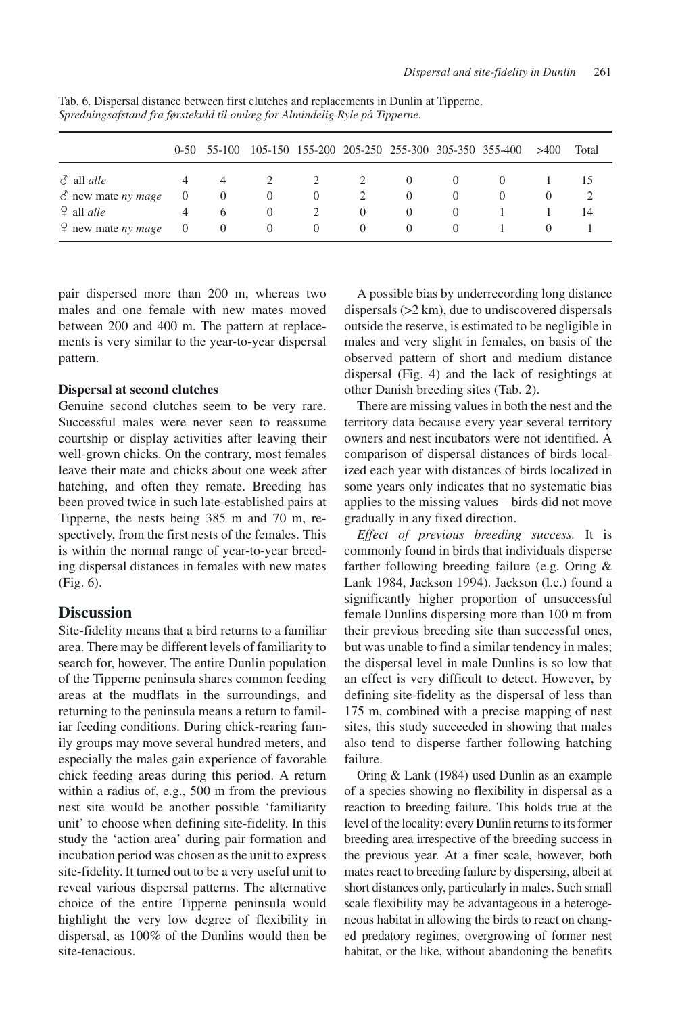|                                   |          | $0-50$ 55-100 |          |                |             | 105-150 155-200 205-250 255-300 305-350 355-400 |          | >400 | Total |
|-----------------------------------|----------|---------------|----------|----------------|-------------|-------------------------------------------------|----------|------|-------|
| $\delta$ all <i>alle</i>          | 4        | 4             |          | $\overline{2}$ | $2^{\circ}$ | $\Omega$                                        | $\theta$ |      | 15    |
| $\delta$ new mate <i>ny mage</i>  | $\sim 0$ | $\theta$      | $\theta$ | $\theta$       | 2           | $\theta$                                        | $\theta$ |      |       |
| $\Omega$ all <i>alle</i>          | 4        | 6             | $\theta$ |                | $\Omega$    | $\Omega$                                        | $\theta$ |      | 14    |
| $\varphi$ new mate <i>ny mage</i> | $\sim 0$ | 0             | $\theta$ | $\theta$       | $\theta$    | $\Omega$                                        | $\theta$ |      |       |

Tab. 6. Dispersal distance between first clutches and replacements in Dunlin at Tipperne. *Spredningsafstand fra førstekuld til omlæg for Almindelig Ryle på Tipperne.*

pair dispersed more than 200 m, whereas two males and one female with new mates moved between 200 and 400 m. The pattern at replacements is very similar to the year-to-year dispersal pattern.

## **Dispersal at second clutches**

Genuine second clutches seem to be very rare. Successful males were never seen to reassume courtship or display activities after leaving their well-grown chicks. On the contrary, most females leave their mate and chicks about one week after hatching, and often they remate. Breeding has been proved twice in such late-established pairs at Tipperne, the nests being 385 m and 70 m, respectively, from the first nests of the females. This is within the normal range of year-to-year breeding dispersal distances in females with new mates (Fig. 6).

# **Discussion**

Site-fidelity means that a bird returns to a familiar area. There may be different levels of familiarity to search for, however. The entire Dunlin population of the Tipperne peninsula shares common feeding areas at the mudflats in the surroundings, and returning to the peninsula means a return to familiar feeding conditions. During chick-rearing family groups may move several hundred meters, and especially the males gain experience of favorable chick feeding areas during this period. A return within a radius of, e.g., 500 m from the previous nest site would be another possible 'familiarity unit' to choose when defining site-fidelity. In this study the 'action area' during pair formation and incubation period was chosen as the unit to express site-fidelity. It turned out to be a very useful unit to reveal various dispersal patterns. The alternative choice of the entire Tipperne peninsula would highlight the very low degree of flexibility in dispersal, as 100% of the Dunlins would then be site-tenacious.

A possible bias by underrecording long distance dispersals (>2 km), due to undiscovered dispersals outside the reserve, is estimated to be negligible in males and very slight in females, on basis of the observed pattern of short and medium distance dispersal (Fig. 4) and the lack of resightings at other Danish breeding sites (Tab. 2).

There are missing values in both the nest and the territory data because every year several territory owners and nest incubators were not identified. A comparison of dispersal distances of birds localized each year with distances of birds localized in some years only indicates that no systematic bias applies to the missing values – birds did not move gradually in any fixed direction.

*Effect of previous breeding success.* It is commonly found in birds that individuals disperse farther following breeding failure (e.g. Oring & Lank 1984, Jackson 1994). Jackson (l.c.) found a significantly higher proportion of unsuccessful female Dunlins dispersing more than 100 m from their previous breeding site than successful ones, but was unable to find a similar tendency in males; the dispersal level in male Dunlins is so low that an effect is very difficult to detect. However, by defining site-fidelity as the dispersal of less than 175 m, combined with a precise mapping of nest sites, this study succeeded in showing that males also tend to disperse farther following hatching failure.

Oring & Lank (1984) used Dunlin as an example of a species showing no flexibility in dispersal as a reaction to breeding failure. This holds true at the level of the locality: every Dunlin returns to its former breeding area irrespective of the breeding success in the previous year. At a finer scale, however, both mates react to breeding failure by dispersing, albeit at short distances only, particularly in males. Such small scale flexibility may be advantageous in a heterogeneous habitat in allowing the birds to react on changed predatory regimes, overgrowing of former nest habitat, or the like, without abandoning the benefits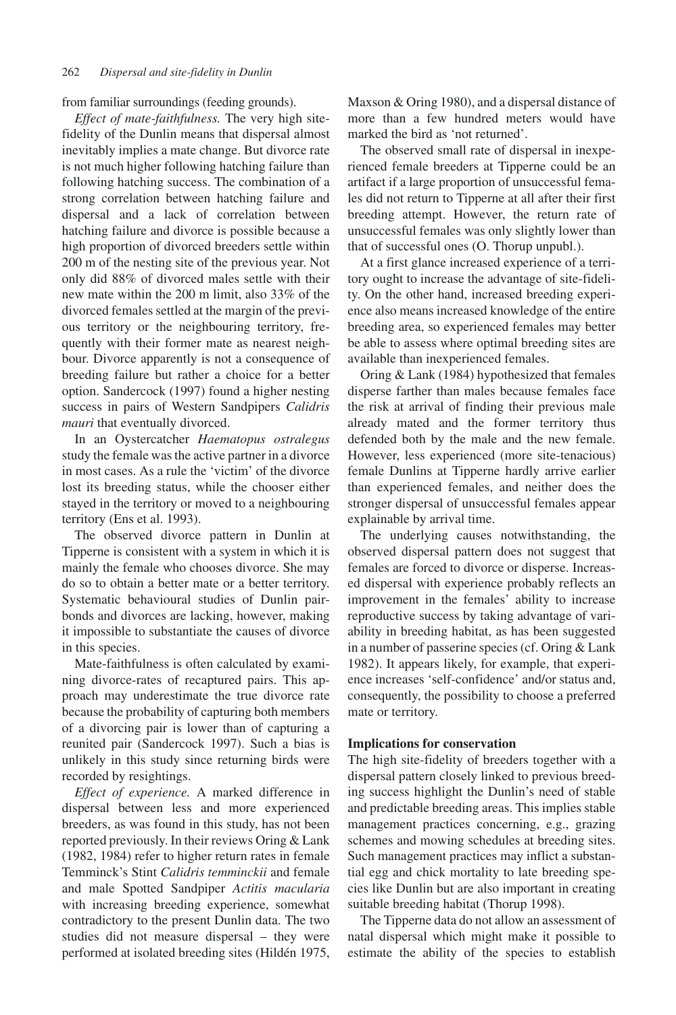from familiar surroundings (feeding grounds).

*Effect of mate-faithfulness.* The very high sitefidelity of the Dunlin means that dispersal almost inevitably implies a mate change. But divorce rate is not much higher following hatching failure than following hatching success. The combination of a strong correlation between hatching failure and dispersal and a lack of correlation between hatching failure and divorce is possible because a high proportion of divorced breeders settle within 200 m of the nesting site of the previous year. Not only did 88% of divorced males settle with their new mate within the 200 m limit, also 33% of the divorced females settled at the margin of the previous territory or the neighbouring territory, frequently with their former mate as nearest neighbour. Divorce apparently is not a consequence of breeding failure but rather a choice for a better option. Sandercock (1997) found a higher nesting success in pairs of Western Sandpipers *Calidris mauri* that eventually divorced.

In an Oystercatcher *Haematopus ostralegus* study the female was the active partner in a divorce in most cases. As a rule the 'victim' of the divorce lost its breeding status, while the chooser either stayed in the territory or moved to a neighbouring territory (Ens et al. 1993).

The observed divorce pattern in Dunlin at Tipperne is consistent with a system in which it is mainly the female who chooses divorce. She may do so to obtain a better mate or a better territory. Systematic behavioural studies of Dunlin pairbonds and divorces are lacking, however, making it impossible to substantiate the causes of divorce in this species.

Mate-faithfulness is often calculated by examining divorce-rates of recaptured pairs. This approach may underestimate the true divorce rate because the probability of capturing both members of a divorcing pair is lower than of capturing a reunited pair (Sandercock 1997). Such a bias is unlikely in this study since returning birds were recorded by resightings.

*Effect of experience.* A marked difference in dispersal between less and more experienced breeders, as was found in this study, has not been reported previously. In their reviews Oring & Lank (1982, 1984) refer to higher return rates in female Temminck's Stint *Calidris temminckii* and female and male Spotted Sandpiper *Actitis macularia* with increasing breeding experience, somewhat contradictory to the present Dunlin data. The two studies did not measure dispersal – they were performed at isolated breeding sites (Hildén 1975, Maxson & Oring 1980), and a dispersal distance of more than a few hundred meters would have marked the bird as 'not returned'.

The observed small rate of dispersal in inexperienced female breeders at Tipperne could be an artifact if a large proportion of unsuccessful females did not return to Tipperne at all after their first breeding attempt. However, the return rate of unsuccessful females was only slightly lower than that of successful ones (O. Thorup unpubl.).

At a first glance increased experience of a territory ought to increase the advantage of site-fidelity. On the other hand, increased breeding experience also means increased knowledge of the entire breeding area, so experienced females may better be able to assess where optimal breeding sites are available than inexperienced females.

Oring & Lank (1984) hypothesized that females disperse farther than males because females face the risk at arrival of finding their previous male already mated and the former territory thus defended both by the male and the new female. However, less experienced (more site-tenacious) female Dunlins at Tipperne hardly arrive earlier than experienced females, and neither does the stronger dispersal of unsuccessful females appear explainable by arrival time.

The underlying causes notwithstanding, the observed dispersal pattern does not suggest that females are forced to divorce or disperse. Increased dispersal with experience probably reflects an improvement in the females' ability to increase reproductive success by taking advantage of variability in breeding habitat, as has been suggested in a number of passerine species (cf. Oring & Lank 1982). It appears likely, for example, that experience increases 'self-confidence' and/or status and, consequently, the possibility to choose a preferred mate or territory.

#### **Implications for conservation**

The high site-fidelity of breeders together with a dispersal pattern closely linked to previous breeding success highlight the Dunlin's need of stable and predictable breeding areas. This implies stable management practices concerning, e.g., grazing schemes and mowing schedules at breeding sites. Such management practices may inflict a substantial egg and chick mortality to late breeding species like Dunlin but are also important in creating suitable breeding habitat (Thorup 1998).

The Tipperne data do not allow an assessment of natal dispersal which might make it possible to estimate the ability of the species to establish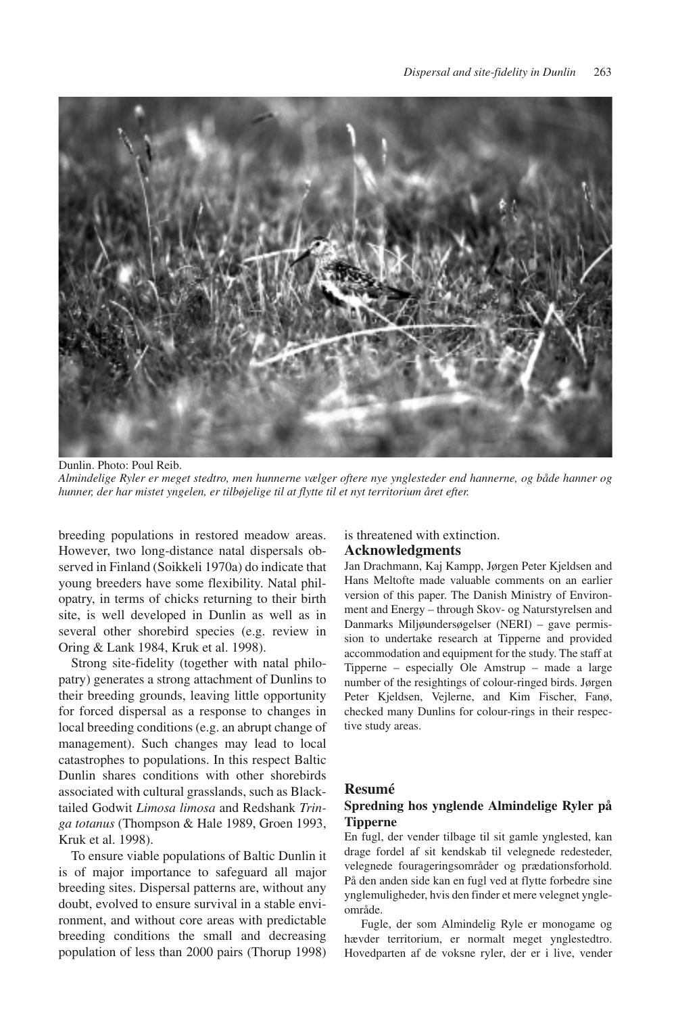

Dunlin. Photo: Poul Reib. *Almindelige Ryler er meget stedtro, men hunnerne vælger oftere nye ynglesteder end hannerne, og både hanner og hunner, der har mistet yngelen, er tilbøjelige til at flytte til et nyt territorium året efter.*

breeding populations in restored meadow areas. However, two long-distance natal dispersals observed in Finland (Soikkeli 1970a) do indicate that young breeders have some flexibility. Natal philopatry, in terms of chicks returning to their birth site, is well developed in Dunlin as well as in several other shorebird species (e.g. review in Oring & Lank 1984, Kruk et al. 1998).

Strong site-fidelity (together with natal philopatry) generates a strong attachment of Dunlins to their breeding grounds, leaving little opportunity for forced dispersal as a response to changes in local breeding conditions (e.g. an abrupt change of management). Such changes may lead to local catastrophes to populations. In this respect Baltic Dunlin shares conditions with other shorebirds associated with cultural grasslands, such as Blacktailed Godwit *Limosa limosa* and Redshank *Tringa totanus* (Thompson & Hale 1989, Groen 1993, Kruk et al. 1998).

To ensure viable populations of Baltic Dunlin it is of major importance to safeguard all major breeding sites. Dispersal patterns are, without any doubt, evolved to ensure survival in a stable environment, and without core areas with predictable breeding conditions the small and decreasing population of less than 2000 pairs (Thorup 1998)

is threatened with extinction.

## **Acknowledgments**

Jan Drachmann, Kaj Kampp, Jørgen Peter Kjeldsen and Hans Meltofte made valuable comments on an earlier version of this paper. The Danish Ministry of Environment and Energy – through Skov- og Naturstyrelsen and Danmarks Miljøundersøgelser (NERI) – gave permission to undertake research at Tipperne and provided accommodation and equipment for the study. The staff at Tipperne – especially Ole Amstrup – made a large number of the resightings of colour-ringed birds. Jørgen Peter Kjeldsen, Vejlerne, and Kim Fischer, Fanø, checked many Dunlins for colour-rings in their respective study areas.

## **Resumé**

#### **Spredning hos ynglende Almindelige Ryler på Tipperne**

En fugl, der vender tilbage til sit gamle ynglested, kan drage fordel af sit kendskab til velegnede redesteder, velegnede fourageringsområder og prædationsforhold. På den anden side kan en fugl ved at flytte forbedre sine ynglemuligheder, hvis den finder et mere velegnet yngleområde.

Fugle, der som Almindelig Ryle er monogame og hævder territorium, er normalt meget ynglestedtro. Hovedparten af de voksne ryler, der er i live, vender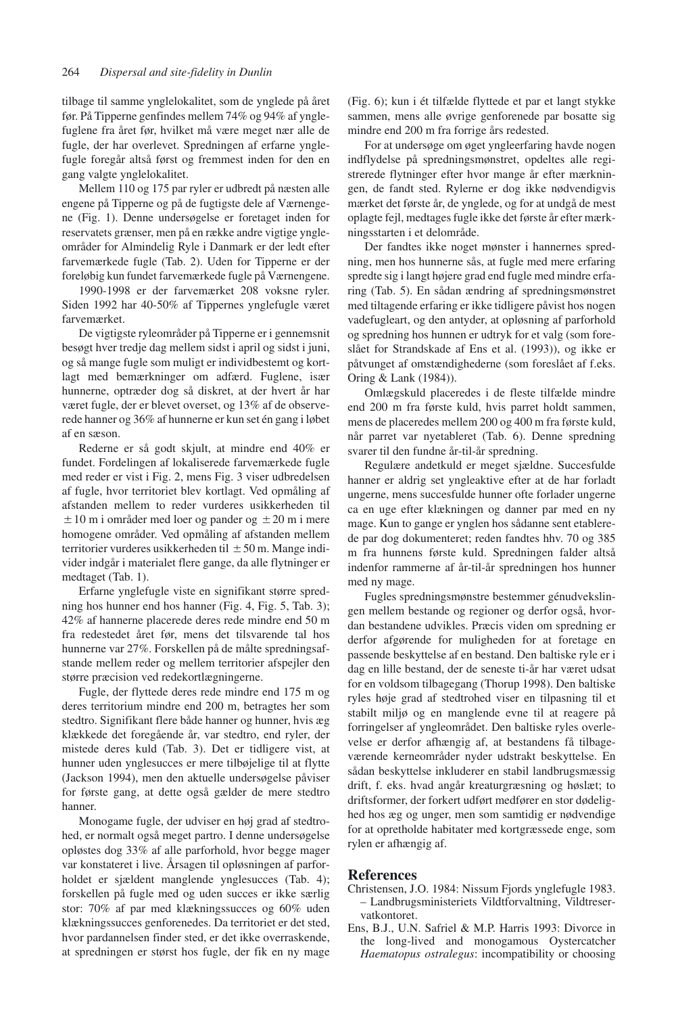tilbage til samme ynglelokalitet, som de ynglede på året før. På Tipperne genfindes mellem 74% og 94% af ynglefuglene fra året før, hvilket må være meget nær alle de fugle, der har overlevet. Spredningen af erfarne ynglefugle foregår altså først og fremmest inden for den en gang valgte ynglelokalitet.

Mellem 110 og 175 par ryler er udbredt på næsten alle engene på Tipperne og på de fugtigste dele af Værnengene (Fig. 1). Denne undersøgelse er foretaget inden for reservatets grænser, men på en række andre vigtige yngleområder for Almindelig Ryle i Danmark er der ledt efter farvemærkede fugle (Tab. 2). Uden for Tipperne er der foreløbig kun fundet farvemærkede fugle på Værnengene.

1990-1998 er der farvemærket 208 voksne ryler. Siden 1992 har 40-50% af Tippernes ynglefugle været farvemærket.

De vigtigste ryleområder på Tipperne er i gennemsnit besøgt hver tredje dag mellem sidst i april og sidst i juni, og så mange fugle som muligt er individbestemt og kortlagt med bemærkninger om adfærd. Fuglene, især hunnerne, optræder dog så diskret, at der hvert år har været fugle, der er blevet overset, og 13% af de observerede hanner og 36% af hunnerne er kun set én gang i løbet af en sæson.

Rederne er så godt skjult, at mindre end 40% er fundet. Fordelingen af lokaliserede farvemærkede fugle med reder er vist i Fig. 2, mens Fig. 3 viser udbredelsen af fugle, hvor territoriet blev kortlagt. Ved opmåling af afstanden mellem to reder vurderes usikkerheden til  $\pm 10$  m i områder med loer og pander og  $\pm 20$  m i mere homogene områder. Ved opmåling af afstanden mellem territorier vurderes usikkerheden til  $\pm 50$  m. Mange individer indgår i materialet flere gange, da alle flytninger er medtaget (Tab. 1).

Erfarne ynglefugle viste en signifikant større spredning hos hunner end hos hanner (Fig. 4, Fig. 5, Tab. 3); 42% af hannerne placerede deres rede mindre end 50 m fra redestedet året før, mens det tilsvarende tal hos hunnerne var 27%. Forskellen på de målte spredningsafstande mellem reder og mellem territorier afspejler den større præcision ved redekortlægningerne.

Fugle, der flyttede deres rede mindre end 175 m og deres territorium mindre end 200 m, betragtes her som stedtro. Signifikant flere både hanner og hunner, hvis æg klækkede det foregående år, var stedtro, end ryler, der mistede deres kuld (Tab. 3). Det er tidligere vist, at hunner uden ynglesucces er mere tilbøjelige til at flytte (Jackson 1994), men den aktuelle undersøgelse påviser for første gang, at dette også gælder de mere stedtro hanner.

Monogame fugle, der udviser en høj grad af stedtrohed, er normalt også meget partro. I denne undersøgelse opløstes dog 33% af alle parforhold, hvor begge mager var konstateret i live. Årsagen til opløsningen af parforholdet er sjældent manglende ynglesucces (Tab. 4); forskellen på fugle med og uden succes er ikke særlig stor: 70% af par med klækningssucces og 60% uden klækningssucces genforenedes. Da territoriet er det sted, hvor pardannelsen finder sted, er det ikke overraskende, at spredningen er størst hos fugle, der fik en ny mage

(Fig. 6); kun i ét tilfælde flyttede et par et langt stykke sammen, mens alle øvrige genforenede par bosatte sig mindre end 200 m fra forrige års redested.

For at undersøge om øget yngleerfaring havde nogen indflydelse på spredningsmønstret, opdeltes alle registrerede flytninger efter hvor mange år efter mærkningen, de fandt sted. Rylerne er dog ikke nødvendigvis mærket det første år, de ynglede, og for at undgå de mest oplagte fejl, medtages fugle ikke det første år efter mærkningsstarten i et delområde.

Der fandtes ikke noget mønster i hannernes spredning, men hos hunnerne sås, at fugle med mere erfaring spredte sig i langt højere grad end fugle med mindre erfaring (Tab. 5). En sådan ændring af spredningsmønstret med tiltagende erfaring er ikke tidligere påvist hos nogen vadefugleart, og den antyder, at opløsning af parforhold og spredning hos hunnen er udtryk for et valg (som foreslået for Strandskade af Ens et al. (1993)), og ikke er påtvunget af omstændighederne (som foreslået af f.eks. Oring & Lank (1984)).

Omlægskuld placeredes i de fleste tilfælde mindre end 200 m fra første kuld, hvis parret holdt sammen, mens de placeredes mellem 200 og 400 m fra første kuld, når parret var nyetableret (Tab. 6). Denne spredning svarer til den fundne år-til-år spredning.

Regulære andetkuld er meget sjældne. Succesfulde hanner er aldrig set yngleaktive efter at de har forladt ungerne, mens succesfulde hunner ofte forlader ungerne ca en uge efter klækningen og danner par med en ny mage. Kun to gange er ynglen hos sådanne sent etablerede par dog dokumenteret; reden fandtes hhv. 70 og 385 m fra hunnens første kuld. Spredningen falder altså indenfor rammerne af år-til-år spredningen hos hunner med ny mage.

Fugles spredningsmønstre bestemmer génudvekslingen mellem bestande og regioner og derfor også, hvordan bestandene udvikles. Præcis viden om spredning er derfor afgørende for muligheden for at foretage en passende beskyttelse af en bestand. Den baltiske ryle er i dag en lille bestand, der de seneste ti-år har været udsat for en voldsom tilbagegang (Thorup 1998). Den baltiske ryles høje grad af stedtrohed viser en tilpasning til et stabilt miljø og en manglende evne til at reagere på forringelser af yngleområdet. Den baltiske ryles overlevelse er derfor afhængig af, at bestandens få tilbageværende kerneområder nyder udstrakt beskyttelse. En sådan beskyttelse inkluderer en stabil landbrugsmæssig drift, f. eks. hvad angår kreaturgræsning og høslæt; to driftsformer, der forkert udført medfører en stor dødelighed hos æg og unger, men som samtidig er nødvendige for at opretholde habitater med kortgræssede enge, som rylen er afhængig af.

#### **References**

- Christensen, J.O. 1984: Nissum Fjords ynglefugle 1983. – Landbrugsministeriets Vildtforvaltning, Vildtreservatkontoret.
- Ens, B.J., U.N. Safriel & M.P. Harris 1993: Divorce in the long-lived and monogamous Oystercatcher *Haematopus ostralegus*: incompatibility or choosing